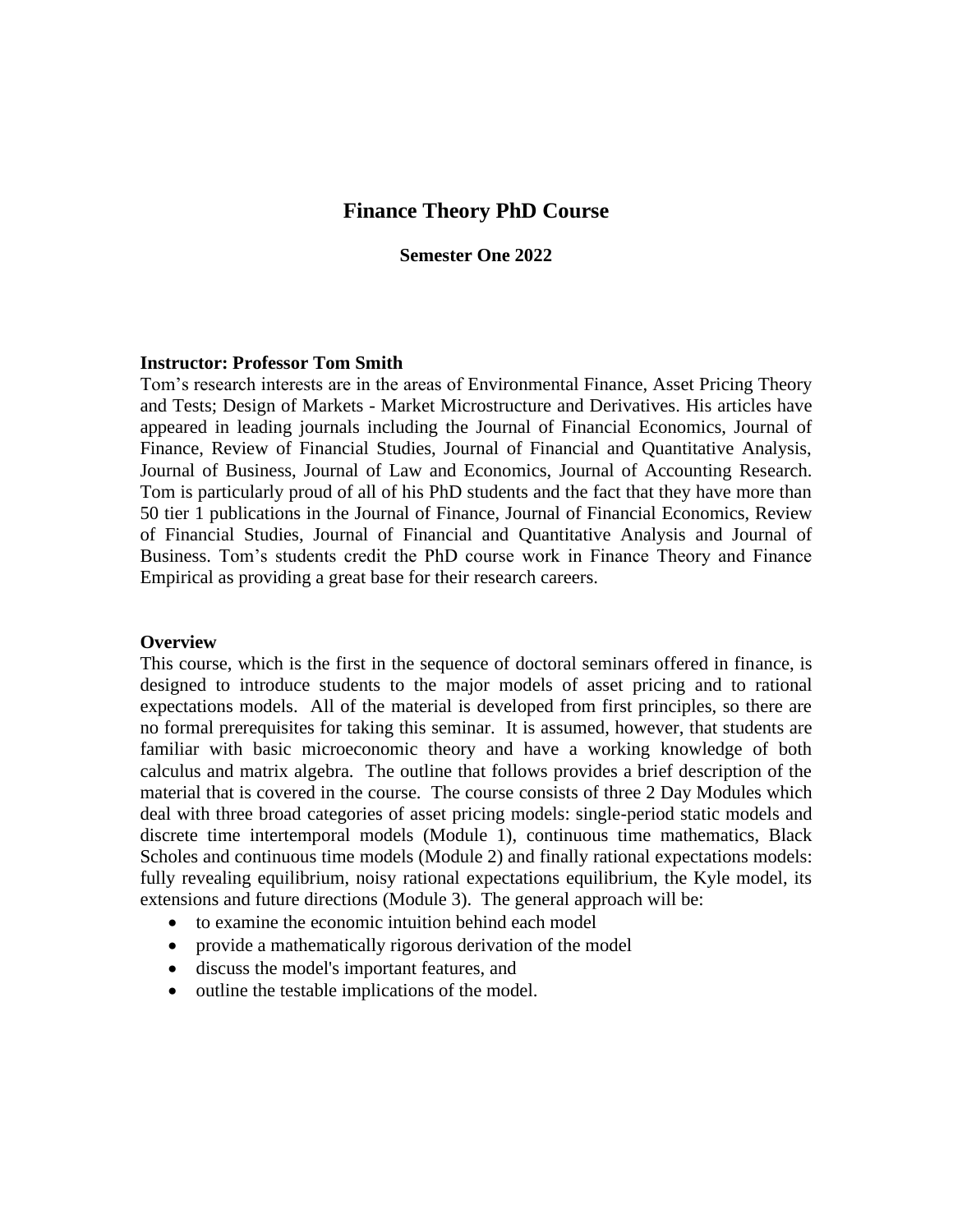# **Finance Theory PhD Course**

#### **Semester One 2022**

#### **Instructor: Professor Tom Smith**

Tom's research interests are in the areas of Environmental Finance, Asset Pricing Theory and Tests; Design of Markets - Market Microstructure and Derivatives. His articles have appeared in leading journals including the Journal of Financial Economics, Journal of Finance, Review of Financial Studies, Journal of Financial and Quantitative Analysis, Journal of Business, Journal of Law and Economics, Journal of Accounting Research. Tom is particularly proud of all of his PhD students and the fact that they have more than 50 tier 1 publications in the Journal of Finance, Journal of Financial Economics, Review of Financial Studies, Journal of Financial and Quantitative Analysis and Journal of Business. Tom's students credit the PhD course work in Finance Theory and Finance Empirical as providing a great base for their research careers.

#### **Overview**

This course, which is the first in the sequence of doctoral seminars offered in finance, is designed to introduce students to the major models of asset pricing and to rational expectations models. All of the material is developed from first principles, so there are no formal prerequisites for taking this seminar. It is assumed, however, that students are familiar with basic microeconomic theory and have a working knowledge of both calculus and matrix algebra. The outline that follows provides a brief description of the material that is covered in the course. The course consists of three 2 Day Modules which deal with three broad categories of asset pricing models: single-period static models and discrete time intertemporal models (Module 1), continuous time mathematics, Black Scholes and continuous time models (Module 2) and finally rational expectations models: fully revealing equilibrium, noisy rational expectations equilibrium, the Kyle model, its extensions and future directions (Module 3). The general approach will be:

- to examine the economic intuition behind each model
- provide a mathematically rigorous derivation of the model
- discuss the model's important features, and
- outline the testable implications of the model.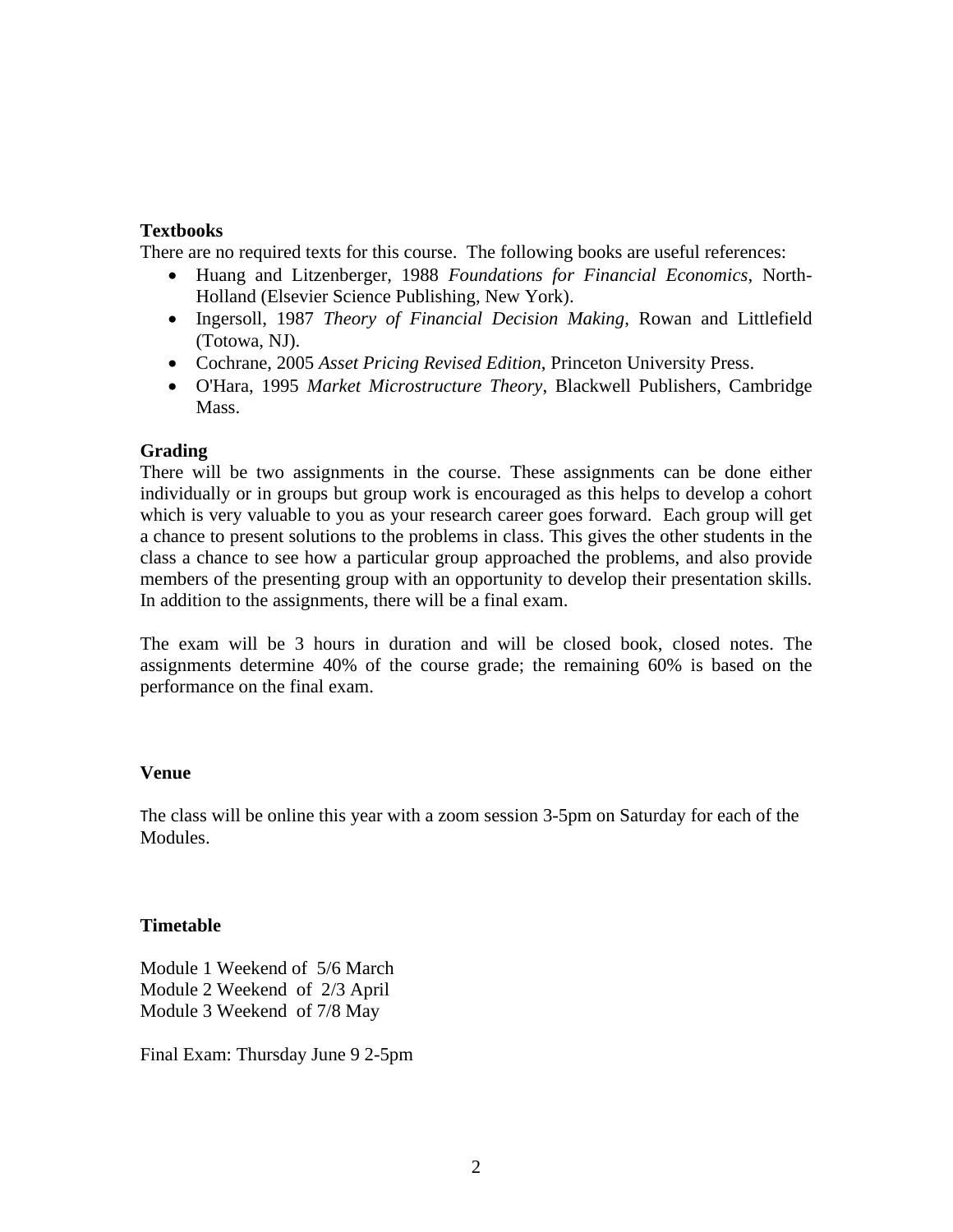#### **Textbooks**

There are no required texts for this course. The following books are useful references:

- Huang and Litzenberger, 1988 *Foundations for Financial Economics*, North-Holland (Elsevier Science Publishing, New York).
- Ingersoll, 1987 *Theory of Financial Decision Making*, Rowan and Littlefield (Totowa, NJ).
- Cochrane, 2005 *Asset Pricing Revised Edition*, Princeton University Press.
- O'Hara, 1995 *Market Microstructure Theory*, Blackwell Publishers, Cambridge Mass.

### **Grading**

There will be two assignments in the course. These assignments can be done either individually or in groups but group work is encouraged as this helps to develop a cohort which is very valuable to you as your research career goes forward. Each group will get a chance to present solutions to the problems in class. This gives the other students in the class a chance to see how a particular group approached the problems, and also provide members of the presenting group with an opportunity to develop their presentation skills. In addition to the assignments, there will be a final exam.

The exam will be 3 hours in duration and will be closed book, closed notes. The assignments determine 40% of the course grade; the remaining 60% is based on the performance on the final exam.

#### **Venue**

The class will be online this year with a zoom session 3-5pm on Saturday for each of the Modules.

#### **Timetable**

Module 1 Weekend of 5/6 March Module 2 Weekend of 2/3 April Module 3 Weekend of 7/8 May

Final Exam: Thursday June 9 2-5pm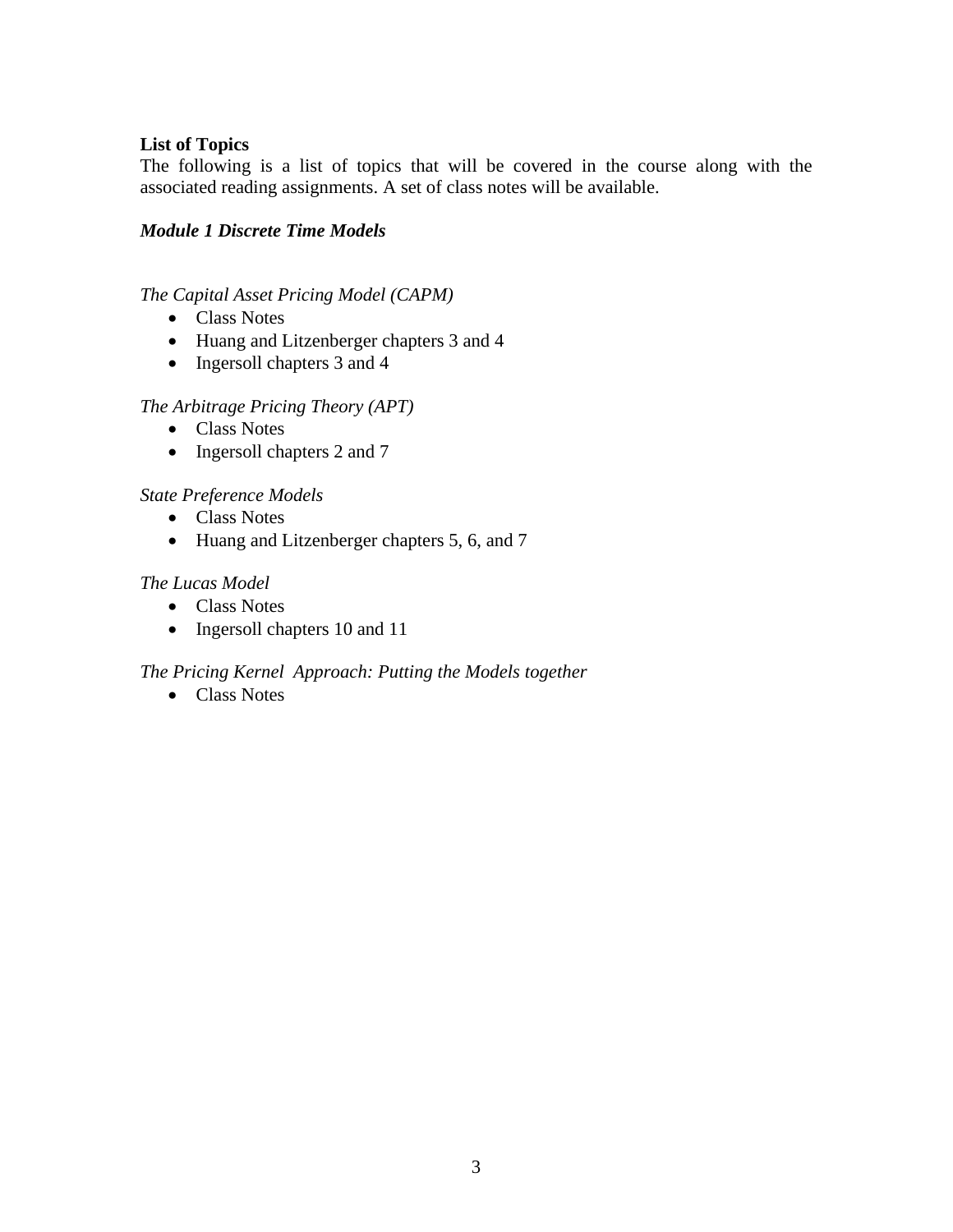# **List of Topics**

The following is a list of topics that will be covered in the course along with the associated reading assignments. A set of class notes will be available.

## *Module 1 Discrete Time Models*

# *The Capital Asset Pricing Model (CAPM)*

- Class Notes
- Huang and Litzenberger chapters 3 and 4
- Ingersoll chapters 3 and 4

# *The Arbitrage Pricing Theory (APT)*

- Class Notes
- Ingersoll chapters 2 and 7

# *State Preference Models*

- Class Notes
- Huang and Litzenberger chapters 5, 6, and 7

# *The Lucas Model*

- Class Notes
- Ingersoll chapters 10 and 11

# *The Pricing Kernel Approach: Putting the Models together*

• Class Notes